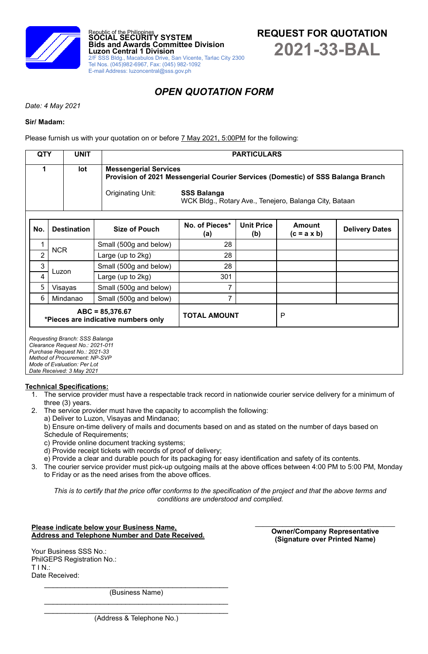



# *OPEN QUOTATION FORM*

*Date: 4 May 2021*

### **Sir/ Madam:**

Please furnish us with your quotation on or before **7 May 2021, 5:00PM** for the following:

| <b>QTY</b>     | <b>UNIT</b>                                                                                                                                                                                     |  |                                                                                                                  |                                                                              | <b>PARTICULARS</b>       |                              |                       |  |  |  |  |
|----------------|-------------------------------------------------------------------------------------------------------------------------------------------------------------------------------------------------|--|------------------------------------------------------------------------------------------------------------------|------------------------------------------------------------------------------|--------------------------|------------------------------|-----------------------|--|--|--|--|
| 1<br>lot       |                                                                                                                                                                                                 |  | <b>Messengerial Services</b><br>Provision of 2021 Messengerial Courier Services (Domestic) of SSS Balanga Branch |                                                                              |                          |                              |                       |  |  |  |  |
|                |                                                                                                                                                                                                 |  | Originating Unit:                                                                                                | <b>SSS Balanga</b><br>WCK Bldg., Rotary Ave., Tenejero, Balanga City, Bataan |                          |                              |                       |  |  |  |  |
| No.            | <b>Destination</b>                                                                                                                                                                              |  | <b>Size of Pouch</b>                                                                                             | No. of Pieces*<br>(a)                                                        | <b>Unit Price</b><br>(b) | Amount<br>$(c = a \times b)$ | <b>Delivery Dates</b> |  |  |  |  |
| 1              | <b>NCR</b>                                                                                                                                                                                      |  | Small (500g and below)                                                                                           | 28                                                                           |                          |                              |                       |  |  |  |  |
| $\overline{2}$ |                                                                                                                                                                                                 |  | Large (up to 2kg)                                                                                                | 28                                                                           |                          |                              |                       |  |  |  |  |
| 3              | Luzon                                                                                                                                                                                           |  | Small (500g and below)                                                                                           | 28                                                                           |                          |                              |                       |  |  |  |  |
| 4              |                                                                                                                                                                                                 |  | Large (up to 2kg)                                                                                                | 301                                                                          |                          |                              |                       |  |  |  |  |
| 5              | Visayas                                                                                                                                                                                         |  | Small (500g and below)                                                                                           | 7                                                                            |                          |                              |                       |  |  |  |  |
| 6              | Mindanao                                                                                                                                                                                        |  | Small (500g and below)                                                                                           | 7                                                                            |                          |                              |                       |  |  |  |  |
|                | $ABC = 85,376.67$<br>*Pieces are indicative numbers only                                                                                                                                        |  |                                                                                                                  | <b>TOTAL AMOUNT</b>                                                          |                          | P                            |                       |  |  |  |  |
|                | Requesting Branch: SSS Balanga<br>Clearance Request No.: 2021-011<br>Purchase Request No.: 2021-33<br>Method of Procurement: NP-SVP<br>Mode of Evaluation: Per Lot<br>Date Received: 3 May 2021 |  |                                                                                                                  |                                                                              |                          |                              |                       |  |  |  |  |

# **Technical Specifications:**

- 1. The service provider must have a respectable track record in nationwide courier service delivery for a minimum of three (3) years.
- 2. The service provider must have the capacity to accomplish the following:
	- a) Deliver to Luzon, Visayas and Mindanao;
	- b) Ensure on-time delivery of mails and documents based on and as stated on the number of days based on Schedule of Requirements;
	- c) Provide online document tracking systems;
	- d) Provide receipt tickets with records of proof of delivery;
	- e) Provide a clear and durable pouch for its packaging for easy identification and safety of its contents.
- 3. The courier service provider must pick-up outgoing mails at the above offices between 4:00 PM to 5:00 PM, Monday to Friday or as the need arises from the above offices.

*This is to certify that the price offer conforms to the specification of the project and that the above terms and conditions are understood and complied.*

#### **Please indicate below your Business Name, Address and Telephone Number and Date Received.**

Your Business SSS No.: PhilGEPS Registration No.: T I N.: Date Received:

**Owner/Company Representative (Signature over Printed Name)**

 $\mathcal{L}_\text{max}$  , which is a set of the set of the set of the set of the set of the set of the set of the set of the set of the set of the set of the set of the set of the set of the set of the set of the set of the set of (Business Name)  $\mathcal{L}_\text{max}$  , which is a set of the set of the set of the set of the set of the set of the set of the set of the set of the set of the set of the set of the set of the set of the set of the set of the set of the set of

 $\mathcal{L}_\text{max}$  , where  $\mathcal{L}_\text{max}$  and  $\mathcal{L}_\text{max}$  and  $\mathcal{L}_\text{max}$  and  $\mathcal{L}_\text{max}$ (Address & Telephone No.)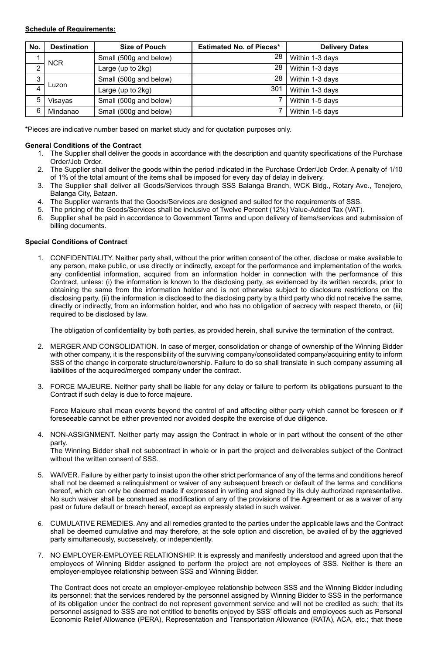# **Schedule of Requirements:**

| No.        | <b>Destination</b> | <b>Size of Pouch</b>   | <b>Estimated No. of Pieces*</b> | <b>Delivery Dates</b> |
|------------|--------------------|------------------------|---------------------------------|-----------------------|
|            |                    | Small (500g and below) | 28                              | Within 1-3 days       |
| <b>NCR</b> |                    | Large (up to 2kg)      | 28                              | Within 1-3 days       |
| ົ<br>J     |                    | Small (500g and below) | 28                              | Within 1-3 days       |
|            | Luzon              | Large (up to 2kg)      | 301                             | Within 1-3 days       |
| 5          | Visayas            | Small (500g and below) |                                 | Within 1-5 days       |
| 6          | Mindanao           | Small (500g and below) |                                 | Within 1-5 days       |

\*Pieces are indicative number based on market study and for quotation purposes only.

# **General Conditions of the Contract**

- 1. The Supplier shall deliver the goods in accordance with the description and quantity specifications of the Purchase Order/Job Order.
- 2. The Supplier shall deliver the goods within the period indicated in the Purchase Order/Job Order. A penalty of 1/10 of 1% of the total amount of the items shall be imposed for every day of delay in delivery.
- 3. The Supplier shall deliver all Goods/Services through SSS Balanga Branch, WCK Bldg., Rotary Ave., Tenejero, Balanga City, Bataan.
- 4. The Supplier warrants that the Goods/Services are designed and suited for the requirements of SSS.
- 5. The pricing of the Goods/Services shall be inclusive of Twelve Percent (12%) Value-Added Tax (VAT).
- 6. Supplier shall be paid in accordance to Government Terms and upon delivery of items/services and submission of billing documents.

# **Special Conditions of Contract**

1. CONFIDENTIALITY. Neither party shall, without the prior written consent of the other, disclose or make available to any person, make public, or use directly or indirectly, except for the performance and implementation of the works, any confidential information, acquired from an information holder in connection with the performance of this Contract, unless: (i) the information is known to the disclosing party, as evidenced by its written records, prior to obtaining the same from the information holder and is not otherwise subject to disclosure restrictions on the disclosing party, (ii) the information is disclosed to the disclosing party by a third party who did not receive the same, directly or indirectly, from an information holder, and who has no obligation of secrecy with respect thereto, or (iii) required to be disclosed by law.

The obligation of confidentiality by both parties, as provided herein, shall survive the termination of the contract.

- 2. MERGER AND CONSOLIDATION. In case of merger, consolidation or change of ownership of the Winning Bidder with other company, it is the responsibility of the surviving company/consolidated company/acquiring entity to inform SSS of the change in corporate structure/ownership. Failure to do so shall translate in such company assuming all liabilities of the acquired/merged company under the contract.
- 3. FORCE MAJEURE. Neither party shall be liable for any delay or failure to perform its obligations pursuant to the Contract if such delay is due to force majeure.

Force Majeure shall mean events beyond the control of and affecting either party which cannot be foreseen or if foreseeable cannot be either prevented nor avoided despite the exercise of due diligence.

4. NON-ASSIGNMENT. Neither party may assign the Contract in whole or in part without the consent of the other party.

The Winning Bidder shall not subcontract in whole or in part the project and deliverables subject of the Contract without the written consent of SSS.

- 5. WAIVER. Failure by either party to insist upon the other strict performance of any of the terms and conditions hereof shall not be deemed a relinquishment or waiver of any subsequent breach or default of the terms and conditions hereof, which can only be deemed made if expressed in writing and signed by its duly authorized representative. No such waiver shall be construed as modification of any of the provisions of the Agreement or as a waiver of any past or future default or breach hereof, except as expressly stated in such waiver.
- 6. CUMULATIVE REMEDIES. Any and all remedies granted to the parties under the applicable laws and the Contract shall be deemed cumulative and may therefore, at the sole option and discretion, be availed of by the aggrieved party simultaneously, successively, or independently.
- 7. NO EMPLOYER-EMPLOYEE RELATIONSHIP. It is expressly and manifestly understood and agreed upon that the employees of Winning Bidder assigned to perform the project are not employees of SSS. Neither is there an employer-employee relationship between SSS and Winning Bidder.

The Contract does not create an employer-employee relationship between SSS and the Winning Bidder including its personnel; that the services rendered by the personnel assigned by Winning Bidder to SSS in the performance of its obligation under the contract do not represent government service and will not be credited as such; that its personnel assigned to SSS are not entitled to benefits enjoyed by SSS' officials and employees such as Personal Economic Relief Allowance (PERA), Representation and Transportation Allowance (RATA), ACA, etc.; that these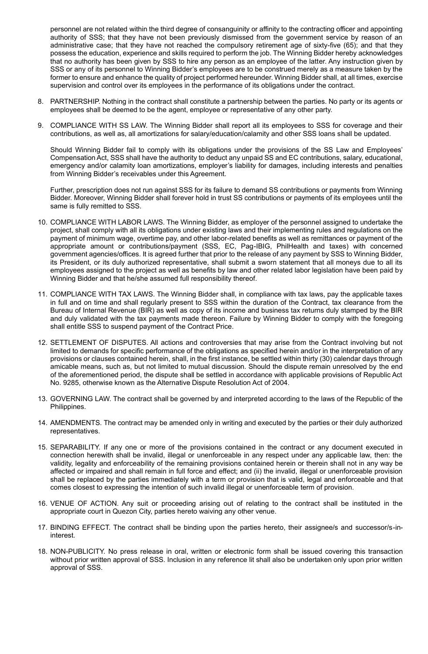personnel are not related within the third degree of consanguinity or affinity to the contracting officer and appointing authority of SSS; that they have not been previously dismissed from the government service by reason of an administrative case; that they have not reached the compulsory retirement age of sixty-five (65); and that they possess the education, experience and skills required to perform the job. The Winning Bidder hereby acknowledges that no authority has been given by SSS to hire any person as an employee of the latter. Any instruction given by SSS or any of its personnel to Winning Bidder's employees are to be construed merely as a measure taken by the former to ensure and enhance the quality of project performed hereunder. Winning Bidder shall, at all times, exercise supervision and control over its employees in the performance of its obligations under the contract.

- 8. PARTNERSHIP. Nothing in the contract shall constitute a partnership between the parties. No party or its agents or employees shall be deemed to be the agent, employee or representative of any other party.
- 9. COMPLIANCE WITH SS LAW. The Winning Bidder shall report all its employees to SSS for coverage and their contributions, as well as, all amortizations for salary/education/calamity and other SSS loans shall be updated.

Should Winning Bidder fail to comply with its obligations under the provisions of the SS Law and Employees' Compensation Act, SSS shall have the authority to deduct any unpaid SS and EC contributions, salary, educational, emergency and/or calamity loan amortizations, employer's liability for damages, including interests and penalties from Winning Bidder's receivables under this Agreement.

Further, prescription does not run against SSS for its failure to demand SS contributions or payments from Winning Bidder. Moreover, Winning Bidder shall forever hold in trust SS contributions or payments of its employees until the same is fully remitted to SSS.

- 10. COMPLIANCE WITH LABOR LAWS. The Winning Bidder, as employer of the personnel assigned to undertake the project, shall comply with all its obligations under existing laws and their implementing rules and regulations on the payment of minimum wage, overtime pay, and other labor-related benefits as well as remittances or payment of the appropriate amount or contributions/payment (SSS, EC, Pag-IBIG, PhilHealth and taxes) with concerned government agencies/offices. It is agreed further that prior to the release of any payment by SSS to Winning Bidder, its President, or its duly authorized representative, shall submit a sworn statement that all moneys due to all its employees assigned to the project as well as benefits by law and other related labor legislation have been paid by Winning Bidder and that he/she assumed full responsibility thereof.
- 11. COMPLIANCE WITH TAX LAWS. The Winning Bidder shall, in compliance with tax laws, pay the applicable taxes in full and on time and shall regularly present to SSS within the duration of the Contract, tax clearance from the Bureau of Internal Revenue (BIR) as well as copy of its income and business tax returns duly stamped by the BIR and duly validated with the tax payments made thereon. Failure by Winning Bidder to comply with the foregoing shall entitle SSS to suspend payment of the Contract Price.
- 12. SETTLEMENT OF DISPUTES. All actions and controversies that may arise from the Contract involving but not limited to demands for specific performance of the obligations as specified herein and/or in the interpretation of any provisions or clauses contained herein, shall, in the first instance, be settled within thirty (30) calendar days through amicable means, such as, but not limited to mutual discussion. Should the dispute remain unresolved by the end of the aforementioned period, the dispute shall be settled in accordance with applicable provisions of Republic Act No. 9285, otherwise known as the Alternative Dispute Resolution Act of 2004.
- 13. GOVERNING LAW. The contract shall be governed by and interpreted according to the laws of the Republic of the Philippines.
- 14. AMENDMENTS. The contract may be amended only in writing and executed by the parties or their duly authorized representatives.
- 15. SEPARABILITY. If any one or more of the provisions contained in the contract or any document executed in connection herewith shall be invalid, illegal or unenforceable in any respect under any applicable law, then: the validity, legality and enforceability of the remaining provisions contained herein or therein shall not in any way be affected or impaired and shall remain in full force and effect; and (ii) the invalid, illegal or unenforceable provision shall be replaced by the parties immediately with a term or provision that is valid, legal and enforceable and that comes closest to expressing the intention of such invalid illegal or unenforceable term of provision.
- 16. VENUE OF ACTION. Any suit or proceeding arising out of relating to the contract shall be instituted in the appropriate court in Quezon City, parties hereto waiving any other venue.
- 17. BINDING EFFECT. The contract shall be binding upon the parties hereto, their assignee/s and successor/s-ininterest.
- 18. NON-PUBLICITY. No press release in oral, written or electronic form shall be issued covering this transaction without prior written approval of SSS. Inclusion in any reference lit shall also be undertaken only upon prior written approval of SSS.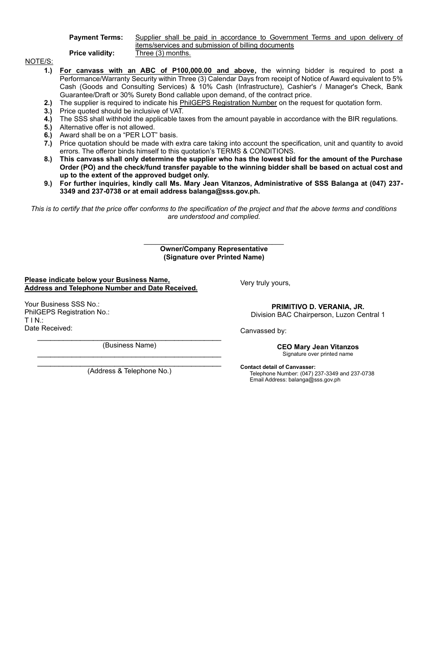**Payment Terms:** 

**Price validity:** 

| Supplier shall be paid in accordance to Government Terms and upon delivery of |  |  |  |  |  |  |
|-------------------------------------------------------------------------------|--|--|--|--|--|--|
| items/services and submission of billing documents                            |  |  |  |  |  |  |
| nonthe) Three (2)                                                             |  |  |  |  |  |  |

NOTE/S:

- **1.) For canvass with an ABC of P100,000.00 and above,** the winning bidder is required to post a Performance/Warranty Security within Three (3) Calendar Days from receipt of Notice of Award equivalent to 5% Cash (Goods and Consulting Services) & 10% Cash (Infrastructure), Cashier's / Manager's Check, Bank Guarantee/Draft or 30% Surety Bond callable upon demand, of the contract price.
- **2.)** The supplier is required to indicate his PhilGEPS Registration Number on the request for quotation form.
- **3.)** Price quoted should be inclusive of VAT.
- **4.)** The SSS shall withhold the applicable taxes from the amount payable in accordance with the BIR regulations.
- **5.)** Alternative offer is not allowed.
- **6.)** Award shall be on a "PER LOT" basis.
- **7.)** Price quotation should be made with extra care taking into account the specification, unit and quantity to avoid errors. The offeror binds himself to this quotation's TERMS & CONDITIONS.
- **8.) This canvass shall only determine the supplier who has the lowest bid for the amount of the Purchase Order (PO) and the check/fund transfer payable to the winning bidder shall be based on actual cost and up to the extent of the approved budget only.**
- **9.) For further inquiries, kindly call Ms. Mary Jean Vitanzos, Administrative of SSS Balanga at (047) 237- 3349 and 237-0738 or at email address balanga@sss.gov.ph.**

*This is to certify that the price offer conforms to the specification of the project and that the above terms and conditions are understood and complied.*

#### **Owner/Company Representative (Signature over Printed Name)**

**Please indicate below your Business Name, Address and Telephone Number and Date Received.**

Your Business SSS No.: PhilGEPS Registration No.: T I N.: Date Received:

(Business Name)

(Address & Telephone No.)

Very truly yours,

**PRIMITIVO D. VERANIA, JR.** Division BAC Chairperson, Luzon Central 1

Canvassed by:

**CEO Mary Jean Vitanzos** Signature over printed name

**Contact detail of Canvasser:** Telephone Number: (047) 237-3349 and 237-0738 Email Address: balanga@sss.gov.ph